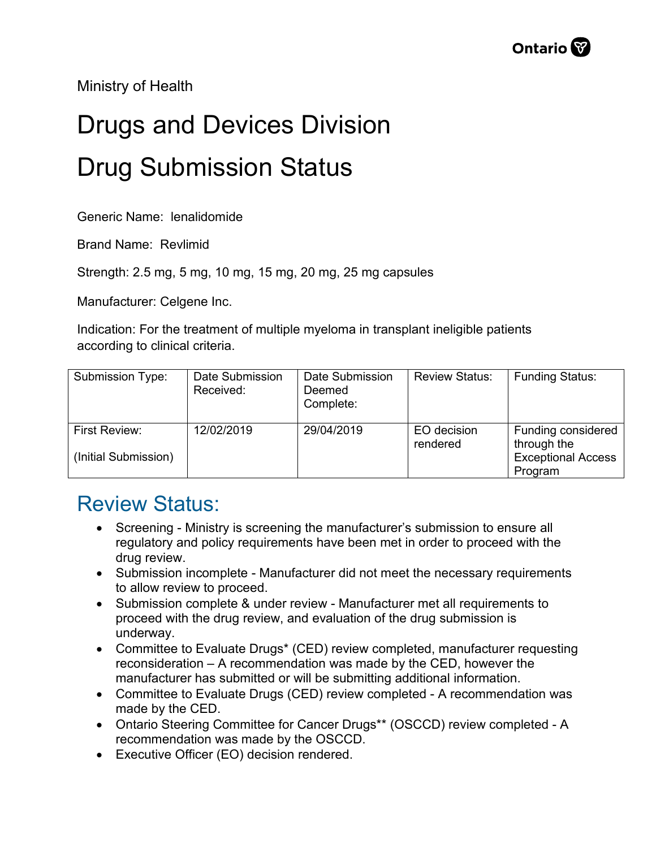Ministry of Health

## Drugs and Devices Division Drug Submission Status

Generic Name: lenalidomide

Brand Name: Revlimid

Strength: 2.5 mg, 5 mg, 10 mg, 15 mg, 20 mg, 25 mg capsules

Manufacturer: Celgene Inc.

Indication: For the treatment of multiple myeloma in transplant ineligible patients according to clinical criteria.

| Submission Type:                      | Date Submission<br>Received: | Date Submission<br>Deemed<br>Complete: | <b>Review Status:</b>   | <b>Funding Status:</b>                                                    |
|---------------------------------------|------------------------------|----------------------------------------|-------------------------|---------------------------------------------------------------------------|
| First Review:<br>(Initial Submission) | 12/02/2019                   | 29/04/2019                             | EO decision<br>rendered | Funding considered<br>through the<br><b>Exceptional Access</b><br>Program |

## Review Status:

- Screening Ministry is screening the manufacturer's submission to ensure all regulatory and policy requirements have been met in order to proceed with the drug review.
- Submission incomplete Manufacturer did not meet the necessary requirements to allow review to proceed.
- Submission complete & under review Manufacturer met all requirements to proceed with the drug review, and evaluation of the drug submission is underway.
- Committee to Evaluate Drugs\* (CED) review completed, manufacturer requesting reconsideration – A recommendation was made by the CED, however the manufacturer has submitted or will be submitting additional information.
- Committee to Evaluate Drugs (CED) review completed A recommendation was made by the CED.
- Ontario Steering Committee for Cancer Drugs\*\* (OSCCD) review completed A recommendation was made by the OSCCD.
- Executive Officer (EO) decision rendered.